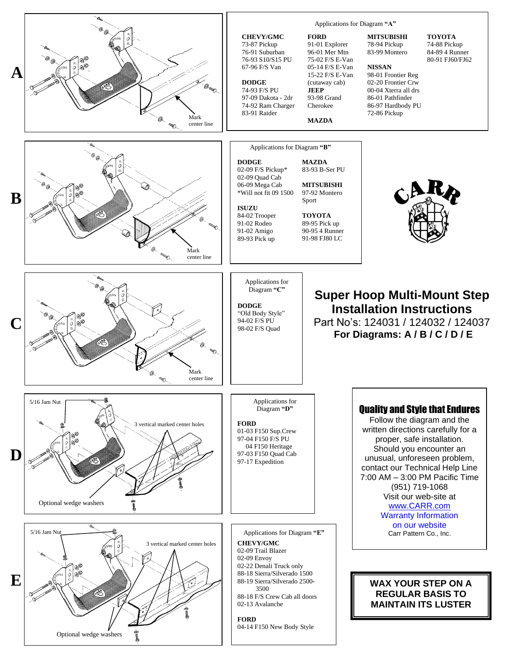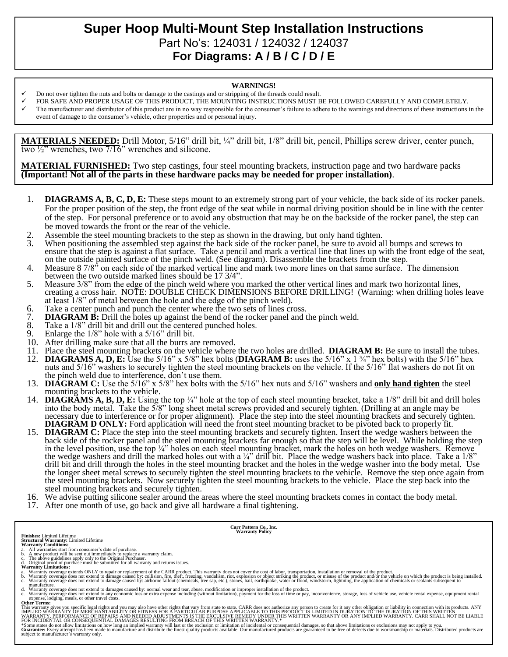## **Super Hoop Multi-Mount Step Installation Instructions**  Part No's: 124031 / 124032 / 124037 **For Diagrams: A / B / C / D / E**

## **WARNINGS!**

- Do not over tighten the nuts and bolts or damage to the castings and or stripping of the threads could result.
- FOR SAFE AND PROPER USAGE OF THIS PRODUCT, THE MOUNTING INSTRUCTIONS MUST BE FOLLOWED CAREFULLY AND COMPLETELY.
- The manufacturer and distributor of this product are in no way responsible for the consumer's failure to adhere to the warnings and directions of these instructions in the event of damage to the consumer's vehicle, other properties and or personal injury.

**MATERIALS NEEDED:** Drill Motor, 5/16" drill bit, ¼" drill bit, 1/8" drill bit, pencil, Phillips screw driver, center punch, two ½" wrenches, two 7/16" wrenches and silicone.

**MATERIAL FURNISHED:** Two step castings, four steel mounting brackets, instruction page and two hardware packs **(Important! Not all of the parts in these hardware packs may be needed for proper installation)**.

- 1. **DIAGRAMS A, B, C, D, E:** These steps mount to an extremely strong part of your vehicle, the back side of its rocker panels. For the proper position of the step, the front edge of the seat while in normal driving position should be in line with the center of the step. For personal preference or to avoid any obstruction that may be on the backside of the rocker panel, the step can be moved towards the front or the rear of the vehicle.
- 2. Assemble the steel mounting brackets to the step as shown in the drawing, but only hand tighten.<br>3. When positioning the assembled step against the back side of the rocker panel, be sure to avoid a
- When positioning the assembled step against the back side of the rocker panel, be sure to avoid all bumps and screws to ensure that the step is against a flat surface. Take a pencil and mark a vertical line that lines up with the front edge of the seat, on the outside painted surface of the pinch weld. (See diagram). Disassemble the brackets from the step.
- 4. Measure 8 7/8<sup>33</sup> on each side of the marked vertical line and mark two more lines on that same surface. The dimension between the two outside marked lines should be 17 3/4".
- 5. Measure 3/8" from the edge of the pinch weld where you marked the other vertical lines and mark two horizontal lines, creating a cross hair. NOTE: DOUBLE CHECK DIMENSIONS BEFORE DRILLING! (Warning: when drilling holes leave at least 1/8" of metal between the hole and the edge of the pinch weld).
- 6. Take a center punch and punch the center where the two sets of lines cross.<br>7. **DIAGRAM B:** Drill the holes up against the bend of the rocker panel and t
- 7. **DIAGRAM B:** Drill the holes up against the bend of the rocker panel and the pinch weld.<br>8. Take a 1/8" drill bit and drill out the centered punched holes.
- 8. Take a  $1/8$ " drill bit and drill out the centered punched holes.<br>9. Enlarge the  $1/8$ " hole with a  $5/16$ " drill bit.
- Enlarge the  $1/8$ " hole with a  $5/16$ " drill bit.
- 10. After drilling make sure that all the burrs are removed.
- 11. Place the steel mounting brackets on the vehicle where the two holes are drilled. **DIAGRAM B:** Be sure to install the tubes.<br>12. **DIAGRAMS A. D. E:** Use the 5/16" x 5/8" hex bolts (**DIAGRAM B:** uses the 5/16" x 1 <sup>3</sup>/4
- 12. **DIAGRAMS A, D, E:** Use the 5/16" x 5/8" hex bolts (**DIAGRAM B:** uses the 5/16" x 1 ¾" hex bolts) with the 5/16" hex nuts and 5/16" washers to securely tighten the steel mounting brackets on the vehicle. If the 5/16" flat washers do not fit on the pinch weld due to interference, don't use them.
- 13. **DIAGRAM C:** Use the 5/16" x 5/8" hex bolts with the 5/16" hex nuts and 5/16" washers and **only hand tighten** the steel mounting brackets to the vehicle.
- 14. **DIAGRAMS A, B, D, E:** Using the top ¼" hole at the top of each steel mounting bracket, take a 1/8" drill bit and drill holes into the body metal. Take the 5/8" long sheet metal screws provided and securely tighten. (Drilling at an angle may be necessary due to interference or for proper alignment). Place the step into the steel mounting brackets and securely tighten. **DIAGRAM D ONLY:** Ford application will need the front steel mounting bracket to be pivoted back to properly fit.
- 15. **DIAGRAM C:** Place the step into the steel mounting brackets and securely tighten. Insert the wedge washers between the back side of the rocker panel and the steel mounting brackets far enough so that the step will be level. While holding the step in the level position, use the top ¼" holes on each steel mounting bracket, mark the holes on both wedge washers. Remove the wedge washers and drill the marked holes out with a  $\frac{1}{4}$ " drill bit. Place the wedge washers back into place. Take a  $\frac{1}{8}$ " drill bit and drill through the holes in the steel mounting bracket and the holes in the wedge washer into the body metal. Use the longer sheet metal screws to securely tighten the steel mounting brackets to the vehicle. Remove the step once again from the steel mounting brackets. Now securely tighten the steel mounting brackets to the vehicle. Place the step back into the steel mounting brackets and securely tighten.
- 16. We advise putting silicone sealer around the areas where the steel mounting brackets comes in contact the body metal.
- 17. After one month of use, go back and give all hardware a final tightening.

- 
- 
- **Finishes:** Limited Lifetime<br>**Structural Warranty:** Limited Lifetime<br>**Warranty Conditions:**<br>**Warranty Conditions:**<br>b. A new product will be sent out immediately to replace a warranty claim.<br>b. A new product will be sent ou
- 

a. Warranty coverage extends ONLY to repair or replacement of the CARR product. This warranty does not cover the cost of labor, transportation, installation or removal of the product.<br>b. Warranty coverage does not extend t

**Carr Pattern Co., Inc. Warranty Policy**

manufacture.<br>
A Warranty coverage does not extend to damages caused by: normal wear and tear, abuse, modification or improper installation of the product.<br>
A Warranty coverage does not extend to any economic loss or extra

**Other Terms:**

This warranty gives you specific legal rights and you may also have other rights that vary from state to state. CARR does not authorize any person to create for it any other obligation or liability in connection with its p

\*Some states do not allow limitations on how long an implied warranty will last or the exclusion or limitation of incidental or consequential damages, so that above limitations or exclusions may not apply to you.<br>Guarantee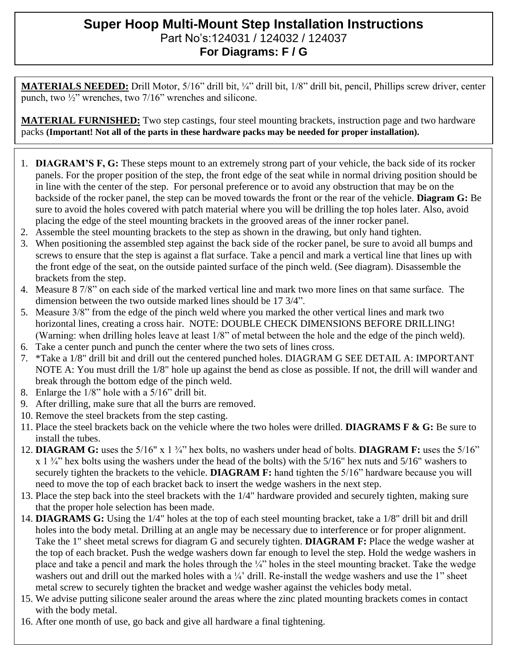## **Super Hoop Multi-Mount Step Installation Instructions**  Part No's:124031 / 124032 / 124037 **For Diagrams: F / G**

**MATERIALS NEEDED:** Drill Motor, 5/16" drill bit, ¼" drill bit, 1/8" drill bit, pencil, Phillips screw driver, center punch, two  $\frac{1}{2}$ " wrenches, two 7/16" wrenches and silicone.

**MATERIAL FURNISHED:** Two step castings, four steel mounting brackets, instruction page and two hardware packs **(Important! Not all of the parts in these hardware packs may be needed for proper installation).**

- 1. **DIAGRAM'S F, G:** These steps mount to an extremely strong part of your vehicle, the back side of its rocker panels. For the proper position of the step, the front edge of the seat while in normal driving position should be in line with the center of the step. For personal preference or to avoid any obstruction that may be on the backside of the rocker panel, the step can be moved towards the front or the rear of the vehicle. **Diagram G:** Be sure to avoid the holes covered with patch material where you will be drilling the top holes later. Also, avoid placing the edge of the steel mounting brackets in the grooved areas of the inner rocker panel.
- 2. Assemble the steel mounting brackets to the step as shown in the drawing, but only hand tighten.
- 3. When positioning the assembled step against the back side of the rocker panel, be sure to avoid all bumps and screws to ensure that the step is against a flat surface. Take a pencil and mark a vertical line that lines up with the front edge of the seat, on the outside painted surface of the pinch weld. (See diagram). Disassemble the brackets from the step.
- 4. Measure 8 7/8" on each side of the marked vertical line and mark two more lines on that same surface. The dimension between the two outside marked lines should be 17 3/4".
- 5. Measure 3/8" from the edge of the pinch weld where you marked the other vertical lines and mark two horizontal lines, creating a cross hair. NOTE: DOUBLE CHECK DIMENSIONS BEFORE DRILLING! (Warning: when drilling holes leave at least 1/8" of metal between the hole and the edge of the pinch weld).
- 6. Take a center punch and punch the center where the two sets of lines cross.
- 7. \*Take a 1/8" drill bit and drill out the centered punched holes. DIAGRAM G SEE DETAIL A: IMPORTANT NOTE A: You must drill the 1/8" hole up against the bend as close as possible. If not, the drill will wander and break through the bottom edge of the pinch weld.
- 8. Enlarge the 1/8" hole with a 5/16" drill bit.
- 9. After drilling, make sure that all the burrs are removed.
- 10. Remove the steel brackets from the step casting.
- 11. Place the steel brackets back on the vehicle where the two holes were drilled. **DIAGRAMS F & G:** Be sure to install the tubes.
- 12. **DIAGRAM G:** uses the 5/16" x 1 ¾" hex bolts, no washers under head of bolts. **DIAGRAM F:** uses the 5/16"  $x$  1  $\frac{3}{4}$ " hex bolts using the washers under the head of the bolts) with the 5/16" hex nuts and 5/16" washers to securely tighten the brackets to the vehicle. **DIAGRAM F:** hand tighten the 5/16" hardware because you will need to move the top of each bracket back to insert the wedge washers in the next step.
- 13. Place the step back into the steel brackets with the 1/4" hardware provided and securely tighten, making sure that the proper hole selection has been made.
- 14. **DIAGRAMS G:** Using the 1/4" holes at the top of each steel mounting bracket, take a 1/8" drill bit and drill holes into the body metal. Drilling at an angle may be necessary due to interference or for proper alignment. Take the 1" sheet metal screws for diagram G and securely tighten. **DIAGRAM F:** Place the wedge washer at the top of each bracket. Push the wedge washers down far enough to level the step. Hold the wedge washers in place and take a pencil and mark the holes through the ¼" holes in the steel mounting bracket. Take the wedge washers out and drill out the marked holes with a  $\frac{1}{4}$  drill. Re-install the wedge washers and use the 1" sheet metal screw to securely tighten the bracket and wedge washer against the vehicles body metal.
- 15. We advise putting silicone sealer around the areas where the zinc plated mounting brackets comes in contact with the body metal.
- 16. After one month of use, go back and give all hardware a final tightening.